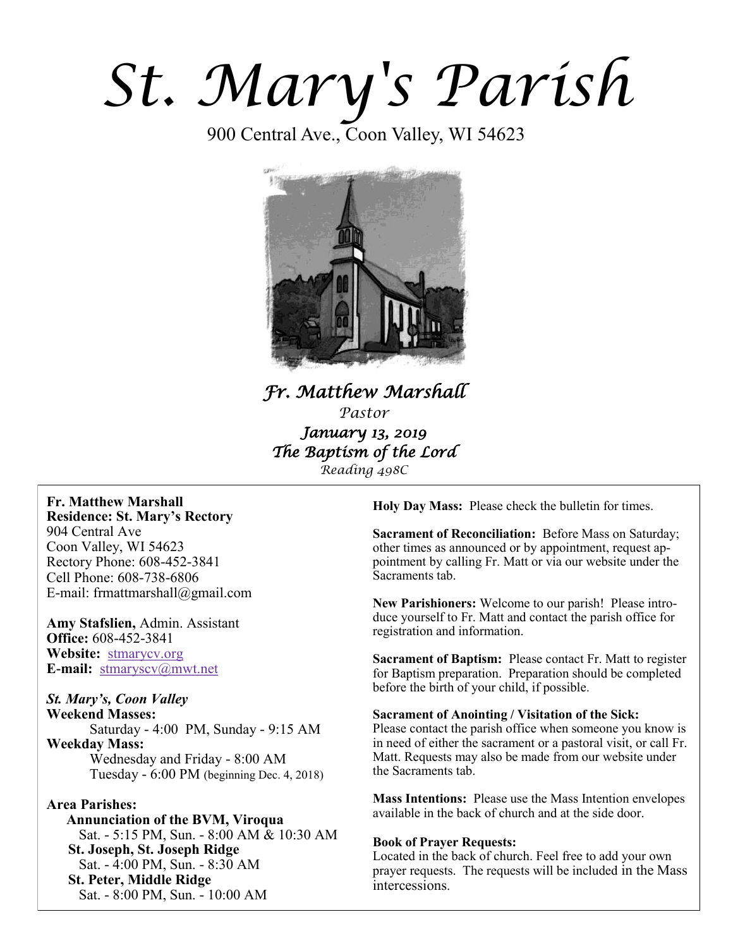# *St. Mary's Parish*

900 Central Ave., Coon Valley, WI 54623



*Fr. Matthew Marshall Pastor January 13, 2019 The Baptism of the Lord Reading 498C*

#### **Fr. Matthew Marshall Residence: St. Mary's Rectory** 904 Central Ave

Coon Valley, WI 54623 Rectory Phone: 608-452-3841 Cell Phone: 608-738-6806 E-mail: frmattmarshall@gmail.com

**Amy Stafslien,** Admin. Assistant **Office:** 608-452-3841 **Website:** <stmarycv.org> **E-mail:** [stmaryscv@mwt.net](mailto:stmaryscv@mwt.net)

#### *St. Mary's, Coon Valley*  **Weekend Masses:**

Saturday - 4:00 PM, Sunday - 9:15 AM **Weekday Mass:**  Wednesday and Friday - 8:00 AM Tuesday - 6:00 PM (beginning Dec. 4, 2018)

#### **Area Parishes:**

 **Annunciation of the BVM, Viroqua** Sat. - 5:15 PM, Sun. - 8:00 AM & 10:30 AM **St. Joseph, St. Joseph Ridge** Sat. - 4:00 PM, Sun. - 8:30 AM **St. Peter, Middle Ridge** Sat. - 8:00 PM, Sun. - 10:00 AM

**Holy Day Mass:** Please check the bulletin for times.

**Sacrament of Reconciliation:** Before Mass on Saturday; other times as announced or by appointment, request appointment by calling Fr. Matt or via our website under the Sacraments tab.

**New Parishioners:** Welcome to our parish! Please introduce yourself to Fr. Matt and contact the parish office for registration and information.

**Sacrament of Baptism:** Please contact Fr. Matt to register for Baptism preparation. Preparation should be completed before the birth of your child, if possible.

#### **Sacrament of Anointing / Visitation of the Sick:**

Please contact the parish office when someone you know is in need of either the sacrament or a pastoral visit, or call Fr. Matt. Requests may also be made from our website under the Sacraments tab.

**Mass Intentions:** Please use the Mass Intention envelopes available in the back of church and at the side door.

#### **Book of Prayer Requests:**

Located in the back of church. Feel free to add your own prayer requests. The requests will be included in the Mass intercessions.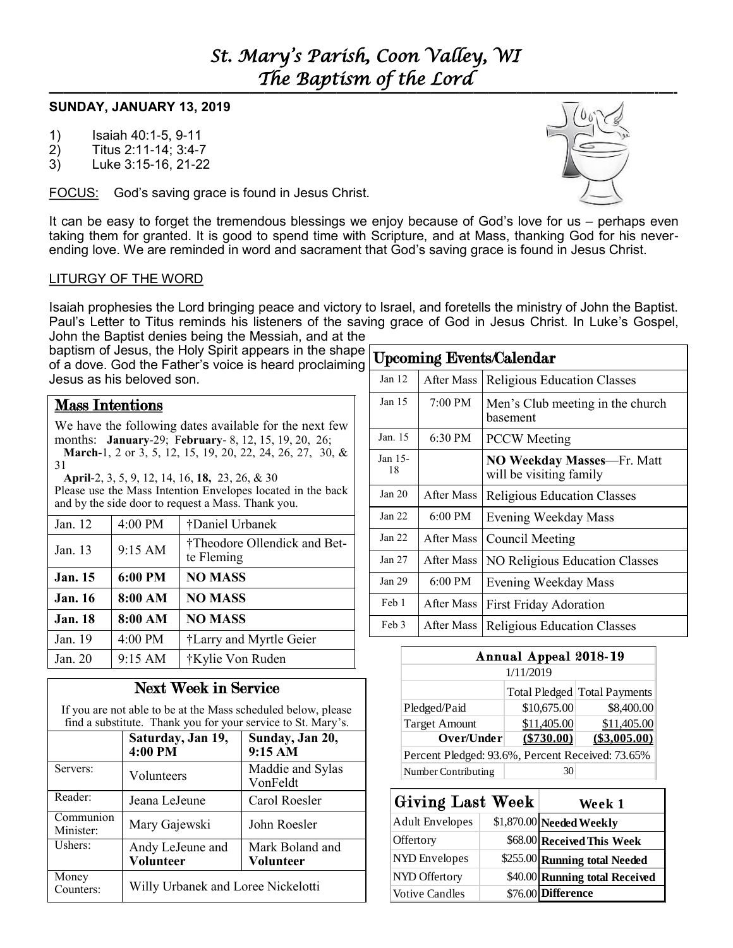#### **SUNDAY, JANUARY 13, 2019**

- 1) Isaiah 40:1-5, 9-11
- 2) Titus 2:11-14; 3:4-7
- 3) Luke 3:15-16, 21-22

FOCUS: God's saving grace is found in Jesus Christ.

It can be easy to forget the tremendous blessings we enjoy because of God's love for us – perhaps even taking them for granted. It is good to spend time with Scripture, and at Mass, thanking God for his neverending love. We are reminded in word and sacrament that God's saving grace is found in Jesus Christ.

#### LITURGY OF THE WORD

Isaiah prophesies the Lord bringing peace and victory to Israel, and foretells the ministry of John the Baptist. Paul's Letter to Titus reminds his listeners of the saving grace of God in Jesus Christ. In Luke's Gospel, John the Baptist denies being the Messiah, and at the

baptism of Jesus, the Holy Spirit appears in the shape of a dove. God the Father's voice is heard proclaiming Jesus as his beloved son.

### Mass Intentions

We have the following dates available for the next few months: **January**-29; F**ebruary**- 8, 12, 15, 19, 20, 26; **March**-1, 2 or 3, 5, 12, 15, 19, 20, 22, 24, 26, 27, 30, & 31

 **April**-2, 3, 5, 9, 12, 14, 16, **18,** 23, 26, & 30 Please use the Mass Intention Envelopes located in the back and by the side door to request a Mass. Thank you.

| Jan. 12        | 4:00 PM | †Daniel Urbanek                            |  |
|----------------|---------|--------------------------------------------|--|
| Jan. 13        | 9:15 AM | †Theodore Ollendick and Bet-<br>te Fleming |  |
| <b>Jan.</b> 15 | 6:00 PM | <b>NO MASS</b>                             |  |
| <b>Jan. 16</b> | 8:00 AM | <b>NO MASS</b>                             |  |
| <b>Jan. 18</b> | 8:00 AM | <b>NO MASS</b>                             |  |
| Jan. 19        | 4:00 PM | †Larry and Myrtle Geier                    |  |
| Jan. $20$      | 9:15 AM | †Kylie Von Ruden                           |  |

## Next Week in Service

If you are not able to be at the Mass scheduled below, please find a substitute. Thank you for your service to St. Mary's.

|                        | Saturday, Jan 19,<br>4:00 PM       | Sunday, Jan 20,<br>9:15 AM   |  |  |
|------------------------|------------------------------------|------------------------------|--|--|
| Servers:               | Volunteers                         | Maddie and Sylas<br>VonFeldt |  |  |
| Reader:                | Jeana LeJeune                      | Carol Roesler                |  |  |
| Communion<br>Minister: | Mary Gajewski                      | John Roesler                 |  |  |
| Ushers:                | Andy LeJeune and<br>Volunteer      | Mark Boland and<br>Volunteer |  |  |
| Money<br>Counters:     | Willy Urbanek and Loree Nickelotti |                              |  |  |

| <b>Upcoming Events/Calendar</b> |                   |                                                       |  |  |  |
|---------------------------------|-------------------|-------------------------------------------------------|--|--|--|
| Jan $12$                        | After Mass        | <b>Religious Education Classes</b>                    |  |  |  |
| Jan $15$                        | $7:00 \text{ PM}$ | Men's Club meeting in the church<br>hasement          |  |  |  |
| Jan. 15                         | 6:30 PM           | <b>PCCW</b> Meeting                                   |  |  |  |
| Jan 15-<br>18                   |                   | NO Weekday Masses-Fr. Matt<br>will be visiting family |  |  |  |
| Jan $20$                        | After Mass        | <b>Religious Education Classes</b>                    |  |  |  |
| Jan 22                          | $6:00 \text{ PM}$ | Evening Weekday Mass                                  |  |  |  |
| Jan 22                          | After Mass        | Council Meeting                                       |  |  |  |
| Jan $27$                        | After Mass        | NO Religious Education Classes                        |  |  |  |
| Jan $29$                        | $6:00 \text{ PM}$ | Evening Weekday Mass                                  |  |  |  |
| Feb 1                           | After Mass        | <b>First Friday Adoration</b>                         |  |  |  |
| Feb 3                           | After Mass        | <b>Religious Education Classes</b>                    |  |  |  |

| Annual Appeal 2018-19                            |             |                              |  |  |  |
|--------------------------------------------------|-------------|------------------------------|--|--|--|
| 1/11/2019                                        |             |                              |  |  |  |
|                                                  |             | Total Pledged Total Payments |  |  |  |
| Pledged/Paid                                     | \$10,675.00 | \$8,400.00                   |  |  |  |
| <b>Target Amount</b>                             | \$11,405.00 | \$11,405.00                  |  |  |  |
| Over/Under                                       | (\$730.00)  | (\$3.005.00)                 |  |  |  |
| Percent Pledged: 93.6%, Percent Received: 73.65% |             |                              |  |  |  |
| Number Contributing                              |             |                              |  |  |  |

| <b>Giving Last Week</b> | Week 1                         |
|-------------------------|--------------------------------|
| <b>Adult Envelopes</b>  | \$1,870.00 Needed Weekly       |
| Offertory               | \$68.00 Received This Week     |
| NYD Envelopes           | \$255.00 Running total Needed  |
| NYD Offertory           | \$40.00 Running total Received |
| <b>Votive Candles</b>   | \$76.00 Difference             |

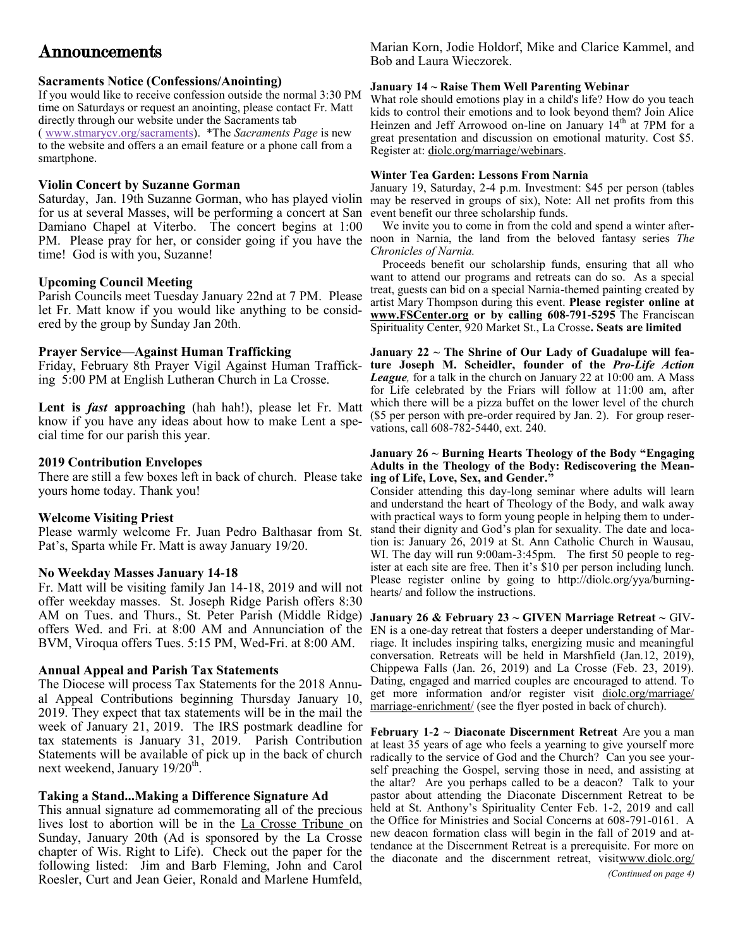# Announcements

#### **Sacraments Notice (Confessions/Anointing)**

If you would like to receive confession outside the normal 3:30 PM time on Saturdays or request an anointing, please contact Fr. Matt directly through our website under the Sacraments tab

( [www.stmarycv.org/sacraments\)](http://www.stmarycv.org/sacraments). \*The *Sacraments Page* is new to the website and offers a an email feature or a phone call from a smartphone.

#### **Violin Concert by Suzanne Gorman**

Saturday, Jan. 19th Suzanne Gorman, who has played violin for us at several Masses, will be performing a concert at San Damiano Chapel at Viterbo. The concert begins at 1:00 PM. Please pray for her, or consider going if you have the time! God is with you, Suzanne!

#### **Upcoming Council Meeting**

Parish Councils meet Tuesday January 22nd at 7 PM. Please let Fr. Matt know if you would like anything to be considered by the group by Sunday Jan 20th.

#### **Prayer Service—Against Human Trafficking**

Friday, February 8th Prayer Vigil Against Human Trafficking 5:00 PM at English Lutheran Church in La Crosse.

**Lent is** *fast* **approaching** (hah hah!), please let Fr. Matt know if you have any ideas about how to make Lent a special time for our parish this year.

#### **2019 Contribution Envelopes**

There are still a few boxes left in back of church. Please take **ing of Life, Love, Sex, and Gender."** yours home today. Thank you!

#### **Welcome Visiting Priest**

Please warmly welcome Fr. Juan Pedro Balthasar from St. Pat's, Sparta while Fr. Matt is away January 19/20.

#### **No Weekday Masses January 14-18**

Fr. Matt will be visiting family Jan 14-18, 2019 and will not offer weekday masses. St. Joseph Ridge Parish offers 8:30 AM on Tues. and Thurs., St. Peter Parish (Middle Ridge) **January 26 & February 23 ~ GIVEN Marriage Retreat ~** GIVoffers Wed. and Fri. at 8:00 AM and Annunciation of the EN is a one-day retreat that fosters a deeper understanding of Mar-BVM, Viroqua offers Tues. 5:15 PM, Wed-Fri. at 8:00 AM.

#### **Annual Appeal and Parish Tax Statements**

The Diocese will process Tax Statements for the 2018 Annual Appeal Contributions beginning Thursday January 10, 2019. They expect that tax statements will be in the mail the week of January 21, 2019. The IRS postmark deadline for tax statements is January 31, 2019. Parish Contribution Statements will be available of pick up in the back of church next weekend, January 19/20<sup>th</sup>.

#### **Taking a Stand...Making a Difference Signature Ad**

This annual signature ad commemorating all of the precious lives lost to abortion will be in the La Crosse Tribune on Sunday, January 20th (Ad is sponsored by the La Crosse chapter of Wis. Right to Life). Check out the paper for the following listed: Jim and Barb Fleming, John and Carol Roesler, Curt and Jean Geier, Ronald and Marlene Humfeld,

Marian Korn, Jodie Holdorf, Mike and Clarice Kammel, and Bob and Laura Wieczorek.

#### **January 14 ~ Raise Them Well Parenting Webinar**

What role should emotions play in a child's life? How do you teach kids to control their emotions and to look beyond them? Join Alice Heinzen and Jeff Arrowood on-line on January 14<sup>th</sup> at 7PM for a great presentation and discussion on emotional maturity. Cost \$5. Register at: [diolc.org/marriage/webinars.](http://www.diolc.org/marriage/webinars/)

#### **Winter Tea Garden: Lessons From Narnia**

January 19, Saturday, 2-4 p.m. Investment: \$45 per person (tables may be reserved in groups of six), Note: All net profits from this event benefit our three scholarship funds.

 We invite you to come in from the cold and spend a winter afternoon in Narnia, the land from the beloved fantasy series *The Chronicles of Narnia.*

 Proceeds benefit our scholarship funds, ensuring that all who want to attend our programs and retreats can do so. As a special treat, guests can bid on a special Narnia-themed painting created by artist Mary Thompson during this event. **Please register online at [www.FSCenter.org](http://r20.rs6.net/tn.jsp?f=001Hm_rKAF1ZFzPZoXSh46RG1a5VV3G3v0DFqRW8yqN5mB_E7h7ij0q74bw7QQiZcfhQvA-4K6Nbl97_7NNtXmj4gDZn4VA30Nb5OzfUf0yXRVS9ZY_iNxcSTfAI-FmwMi7lEMYEhlRkHonk4-3-UdMzOJimHhr-UtrbxnDIbkDQN4=&c=bEsE6gs3QzihULeYPAnk8HToO6txgWS3BBCOfXJEw2YGj5DiF4vkE) or by calling 608-791-5295** The Franciscan Spirituality Center, 920 Market St., La Crosse**. Seats are limited**

**January 22 ~ The Shrine of Our Lady of Guadalupe will feature Joseph M. Scheidler, founder of the** *Pro-Life Action League,* for a talk in the church on January 22 at 10:00 am. A Mass for Life celebrated by the Friars will follow at 11:00 am, after which there will be a pizza buffet on the lower level of the church (\$5 per person with pre-order required by Jan. 2). For group reservations, call 608-782-5440, ext. 240.

## **January 26 ~ Burning Hearts Theology of the Body "Engaging Adults in the Theology of the Body: Rediscovering the Mean-**

Consider attending this day-long seminar where adults will learn and understand the heart of Theology of the Body, and walk away with practical ways to form young people in helping them to understand their dignity and God's plan for sexuality. The date and location is: January 26, 2019 at St. Ann Catholic Church in Wausau, WI. The day will run 9:00am-3:45pm. The first 50 people to register at each site are free. Then it's \$10 per person including lunch. Please register online by going to http://diolc.org/yya/burning[hearts/](http://diolc.org/yya/burning-hearts/) and follow the instructions.

riage. It includes inspiring talks, energizing music and meaningful conversation. Retreats will be held in Marshfield (Jan.12, 2019), Chippewa Falls (Jan. 26, 2019) and La Crosse (Feb. 23, 2019). Dating, engaged and married couples are encouraged to attend. To get more information and/or register visit [diolc.org/marriage/](http://diolc.org/marriage/marriage-enrichment/) [marriage-enrichment/](http://diolc.org/marriage/marriage-enrichment/) (see the flyer posted in back of church).

**February 1-2 ~ Diaconate Discernment Retreat** Are you a man at least 35 years of age who feels a yearning to give yourself more radically to the service of God and the Church? Can you see yourself preaching the Gospel, serving those in need, and assisting at the altar? Are you perhaps called to be a deacon? Talk to your pastor about attending the Diaconate Discernment Retreat to be held at St. Anthony's Spirituality Center Feb. 1-2, 2019 and call the Office for Ministries and Social Concerns at 608-791-0161. A new deacon formation class will begin in the fall of 2019 and attendance at the Discernment Retreat is a prerequisite. For more on the diaconate and the discernment retreat, visi[twww.diolc.org/](http://www.diolc.org/diaconate)